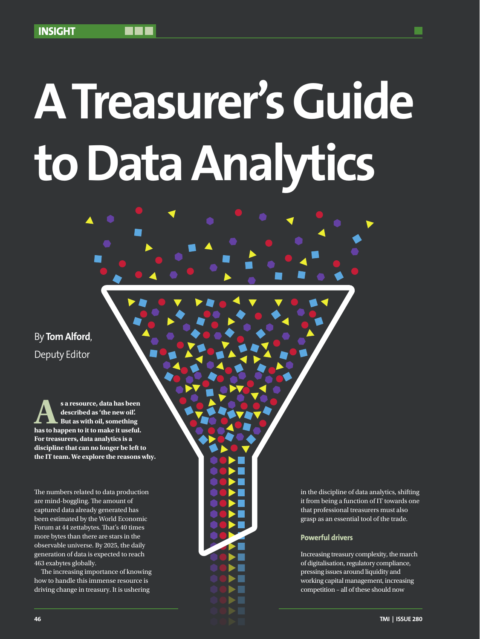# **A Treasurer's Guide to Data Analytics**

By **Tom Alford**, Deputy Editor

**As a resource, data has been described as 'the new oil'. But as with oil, something has to happen to it to make it useful. For treasurers, data analytics is a discipline that can no longer be left to the IT team. We explore the reasons why.**

The numbers related to data production are mind-boggling. The amount of captured data already generated has been estimated by the World Economic Forum at 44 zettabytes. That's 40 times more bytes than there are stars in the observable universe. By 2025, the daily generation of data is expected to reach 463 exabytes globally.

The increasing importance of knowing how to handle this immense resource is driving change in treasury. It is ushering

in the discipline of data analytics, shifting it from being a function of IT towards one that professional treasurers must also grasp as an essential tool of the trade.

### **Powerful drivers**

Increasing treasury complexity, the march of digitalisation, regulatory compliance, pressing issues around liquidity and working capital management, increasing competition – all of these should now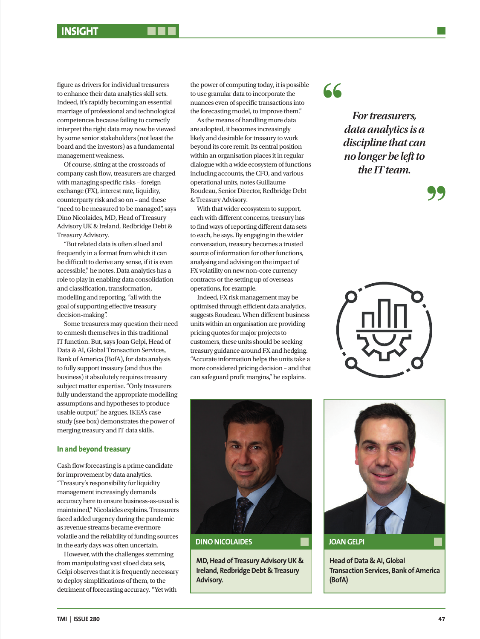figure as drivers for individual treasurers to enhance their data analytics skill sets. Indeed, it's rapidly becoming an essential marriage of professional and technological competences because failing to correctly interpret the right data may now be viewed by some senior stakeholders (not least the board and the investors) as a fundamental management weakness.

Of course, sitting at the crossroads of company cash flow, treasurers are charged with managing specific risks – foreign exchange (FX), interest rate, liquidity, counterparty risk and so on – and these "need to be measured to be managed", says Dino Nicolaides, MD, Head of Treasury Advisory UK & Ireland, Redbridge Debt & Treasury Advisory.

"But related data is often siloed and frequently in a format from which it can be difficult to derive any sense, if it is even accessible," he notes. Data analytics has a role to play in enabling data consolidation and classification, transformation, modelling and reporting, "all with the goal of supporting effective treasury decision-making".

Some treasurers may question their need to enmesh themselves in this traditional IT function. But, says Joan Gelpi, Head of Data & AI, Global Transaction Services, Bank of America (BofA), for data analysis to fully support treasury (and thus the business) it absolutely requires treasury subject matter expertise. "Only treasurers fully understand the appropriate modelling assumptions and hypotheses to produce usable output," he argues. IKEA's case study (see box) demonstrates the power of merging treasury and IT data skills.

### **In and beyond treasury**

Cash flow forecasting is a prime candidate for improvement by data analytics. "Treasury's responsibility for liquidity management increasingly demands accuracy here to ensure business-as-usual is maintained," Nicolaides explains. Treasurers faced added urgency during the pandemic as revenue streams became evermore volatile and the reliability of funding sources in the early days was often uncertain.

However, with the challenges stemming from manipulating vast siloed data sets, Gelpi observes that it is frequently necessary to deploy simplifications of them, to the detriment of forecasting accuracy. "Yet with

the power of computing today, it is possible to use granular data to incorporate the nuances even of specific transactions into the forecasting model, to improve them."

As the means of handling more data are adopted, it becomes increasingly likely and desirable for treasury to work beyond its core remit. Its central position within an organisation places it in regular dialogue with a wide ecosystem of functions including accounts, the CFO, and various operational units, notes Guillaume Roudeau, Senior Director, Redbridge Debt & Treasury Advisory.

With that wider ecosystem to support, each with different concerns, treasury has to find ways of reporting different data sets to each, he says. By engaging in the wider conversation, treasury becomes a trusted source of information for other functions, analysing and advising on the impact of FX volatility on new non-core currency contracts or the setting up of overseas operations, for example.

Indeed, FX risk management may be optimised through efficient data analytics, suggests Roudeau. When different business units within an organisation are providing pricing quotes for major projects to customers, these units should be seeking treasury guidance around FX and hedging. "Accurate information helps the units take a more considered pricing decision – and that can safeguard profit margins," he explains.

66

*For treasurers, data analytics is a discipline that can no longer be left to the IT team.* 







**DINO NICOLAIDES**

**MD, Head of Treasury Advisory UK & Ireland, Redbridge Debt & Treasury Advisory.**



**JOAN GELPI**

**Head of Data & AI, Global Transaction Services, Bank of America (BofA)**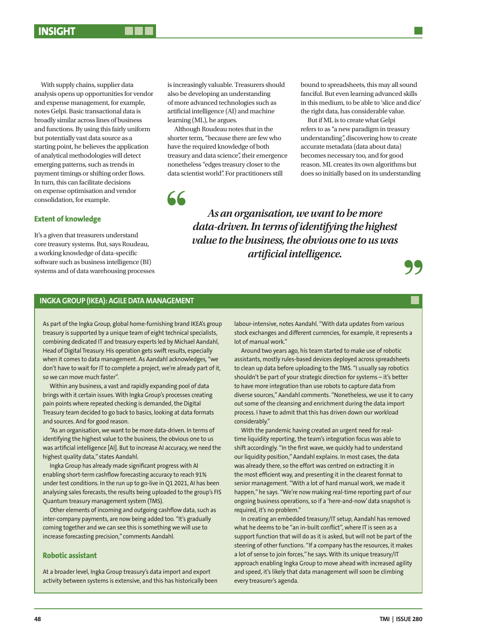With supply chains, supplier data analysis opens up opportunities for vendor and expense management, for example, notes Gelpi. Basic transactional data is broadly similar across lines of business and functions. By using this fairly uniform but potentially vast data source as a starting point, he believes the application of analytical methodologies will detect emerging patterns, such as trends in payment timings or shifting order flows. In turn, this can facilitate decisions on expense optimisation and vendor consolidation, for example.

### **Extent of knowledge**

It's a given that treasurers understand core treasury systems. But, says Roudeau, a working knowledge of data-specific software such as business intelligence (BI) systems and of data warehousing processes

is increasingly valuable. Treasurers should also be developing an understanding of more advanced technologies such as artificial intelligence (AI) and machine learning (ML), he argues.

Although Roudeau notes that in the shorter term, "because there are few who have the required knowledge of both treasury and data science", their emergence nonetheless "edges treasury closer to the data scientist world". For practitioners still

66

bound to spreadsheets, this may all sound fanciful. But even learning advanced skills in this medium, to be able to 'slice and dice' the right data, has considerable value.

But if ML is to create what Gelpi refers to as "a new paradigm in treasury understanding", discovering how to create accurate metadata (data about data) becomes necessary too, and for good reason. ML creates its own algorithms but does so initially based on its understanding

*As an organisation, we want to be more data-driven. In terms of identifying the highest value to the business, the obvious one to us was artificial intelligence.* 



### **INGKA GROUP (IKEA): AGILE DATA MANAGEMENT**

As part of the Ingka Group, global home-furnishing brand IKEA's group treasury is supported by a unique team of eight technical specialists, combining dedicated IT and treasury experts led by Michael Aandahl, Head of Digital Treasury. His operation gets swift results, especially when it comes to data management. As Aandahl acknowledges, "we don't have to wait for IT to complete a project, we're already part of it, so we can move much faster".

Within any business, a vast and rapidly expanding pool of data brings with it certain issues. With Ingka Group's processes creating pain points where repeated checking is demanded, the Digital Treasury team decided to go back to basics, looking at data formats and sources. And for good reason.

"As an organisation, we want to be more data-driven. In terms of identifying the highest value to the business, the obvious one to us was artificial intelligence [AI]. But to increase AI accuracy, we need the highest quality data," states Aandahl.

Ingka Group has already made significant progress with AI enabling short-term cashflow forecasting accuracy to reach 91% under test conditions. In the run up to go-live in Q1 2021, AI has been analysing sales forecasts, the results being uploaded to the group's FIS Quantum treasury management system (TMS).

Other elements of incoming and outgoing cashflow data, such as inter-company payments, are now being added too. "It's gradually coming together and we can see this is something we will use to increase forecasting precision," comments Aandahl.

### **Robotic assistant**

At a broader level, Ingka Group treasury's data import and export activity between systems is extensive, and this has historically been labour-intensive, notes Aandahl. "With data updates from various stock exchanges and different currencies, for example, it represents a lot of manual work."

Around two years ago, his team started to make use of robotic assistants, mostly rules-based devices deployed across spreadsheets to clean up data before uploading to the TMS. "I usually say robotics shouldn't be part of your strategic direction for systems – it's better to have more integration than use robots to capture data from diverse sources," Aandahl comments. "Nonetheless, we use it to carry out some of the cleansing and enrichment during the data import process. I have to admit that this has driven down our workload considerably."

With the pandemic having created an urgent need for realtime liquidity reporting, the team's integration focus was able to shift accordingly. "In the first wave, we quickly had to understand our liquidity position," Aandahl explains. In most cases, the data was already there, so the effort was centred on extracting it in the most efficient way, and presenting it in the clearest format to senior management. "With a lot of hard manual work, we made it happen," he says. "We're now making real-time reporting part of our ongoing business operations, so if a 'here-and-now' data snapshot is required, it's no problem."

In creating an embedded treasury/IT setup, Aandahl has removed what he deems to be "an in-built conflict", where IT is seen as a support function that will do as it is asked, but will not be part of the steering of other functions. "If a company has the resources, it makes a lot of sense to join forces," he says. With its unique treasury/IT approach enabling Ingka Group to move ahead with increased agility and speed, it's likely that data management will soon be climbing every treasurer's agenda.